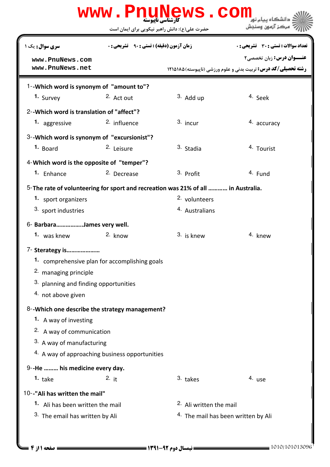| www.PnuNews.com                                        |                                                                                    |                                               |                                                                                                           |  |  |  |  |
|--------------------------------------------------------|------------------------------------------------------------------------------------|-----------------------------------------------|-----------------------------------------------------------------------------------------------------------|--|--|--|--|
|                                                        |                                                                                    | حضرت علی(ع): دانش راهبر نیکویی برای ایمان است | مركز آزمون وسنجش                                                                                          |  |  |  |  |
| <b>سری سوال :</b> یک ۱                                 | <b>زمان آزمون (دقیقه) : تستی : 90 ٪ تشریحی : 0</b>                                 |                                               | <b>تعداد سوالات : تستی : 30 ٪ تشریحی : 0</b>                                                              |  |  |  |  |
| www.PnuNews.com<br>www.PnuNews.net                     |                                                                                    |                                               | <b>عنـــوان درس:</b> زبان تخصصي۲<br><b>رشته تحصیلی/کد درس:</b> تربیت بدنی و علوم ورزشی (ناپیوسته) ۱۲۱۵۱۸۵ |  |  |  |  |
| 1--Which word is synonym of "amount to"?               |                                                                                    |                                               |                                                                                                           |  |  |  |  |
| 1. Survey                                              | 2. Act out                                                                         | $3.$ Add up                                   | 4. Seek                                                                                                   |  |  |  |  |
| 2--Which word is translation of "affect"?              |                                                                                    |                                               |                                                                                                           |  |  |  |  |
| 1. aggressive                                          | <sup>2.</sup> influence                                                            | $3.$ incur                                    | 4. accuracy                                                                                               |  |  |  |  |
| 3--Which word is synonym of "excursionist"?            |                                                                                    |                                               |                                                                                                           |  |  |  |  |
| 1. Board                                               | <sup>2.</sup> Leisure                                                              | 3. Stadia                                     | 4. Tourist                                                                                                |  |  |  |  |
| 4-Which word is the opposite of "temper"?              |                                                                                    |                                               |                                                                                                           |  |  |  |  |
| <sup>1.</sup> Enhance                                  | <sup>2.</sup> Decrease                                                             | 3. Profit                                     | 4. Fund                                                                                                   |  |  |  |  |
|                                                        | 5- The rate of volunteering for sport and recreation was 21% of all  in Australia. |                                               |                                                                                                           |  |  |  |  |
| 1. sport organizers                                    |                                                                                    | 2. volunteers                                 |                                                                                                           |  |  |  |  |
| 3. sport industries                                    |                                                                                    | 4. Australians                                |                                                                                                           |  |  |  |  |
| 6- BarbaraJames very well.                             |                                                                                    |                                               |                                                                                                           |  |  |  |  |
| 1. was knew                                            | 2. know                                                                            | 3. is knew                                    | 4. knew                                                                                                   |  |  |  |  |
| 7- Sterategy is                                        |                                                                                    |                                               |                                                                                                           |  |  |  |  |
| 1. comprehensive plan for accomplishing goals          |                                                                                    |                                               |                                                                                                           |  |  |  |  |
| 2. managing principle                                  |                                                                                    |                                               |                                                                                                           |  |  |  |  |
| 3. planning and finding opportunities                  |                                                                                    |                                               |                                                                                                           |  |  |  |  |
| 4. not above given                                     |                                                                                    |                                               |                                                                                                           |  |  |  |  |
| 8--Which one describe the strategy management?         |                                                                                    |                                               |                                                                                                           |  |  |  |  |
| 1. A way of investing                                  |                                                                                    |                                               |                                                                                                           |  |  |  |  |
| 2. A way of communication<br>3. A way of manufacturing |                                                                                    |                                               |                                                                                                           |  |  |  |  |
| 4. A way of approaching business opportunities         |                                                                                    |                                               |                                                                                                           |  |  |  |  |
| 9--He  his medicine every day.                         |                                                                                    |                                               |                                                                                                           |  |  |  |  |
| 1. $take$                                              | 2. it                                                                              | 3. takes                                      | 4. use                                                                                                    |  |  |  |  |
| 10--"Ali has written the mail"                         |                                                                                    |                                               |                                                                                                           |  |  |  |  |
| 1. Ali has been written the mail                       |                                                                                    | <sup>2.</sup> Ali written the mail            |                                                                                                           |  |  |  |  |
| 3. The email has written by Ali                        |                                                                                    | 4. The mail has been written by Ali           |                                                                                                           |  |  |  |  |
|                                                        |                                                                                    |                                               |                                                                                                           |  |  |  |  |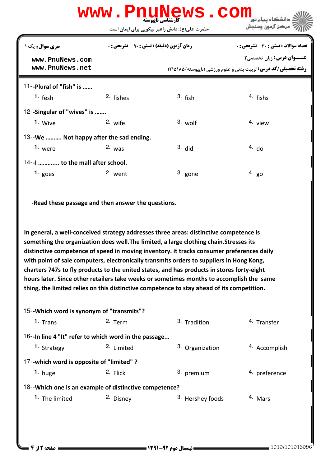# كارشناسي ناپيوسته **[www.PnuNews.com](http://pnunews.com)**

| <b>سری سوال :</b> یک ۱                                                                                                                                                                                                                                                                                                                                                                                                                                                                                                                                                                                                                                             |                       | <b>زمان آزمون (دقیقه) : تستی : 90 ٪ تشریحی : 0</b> | تعداد سوالات : تستي : 30 ٪ تشريحي : 0                                                             |  |  |  |  |
|--------------------------------------------------------------------------------------------------------------------------------------------------------------------------------------------------------------------------------------------------------------------------------------------------------------------------------------------------------------------------------------------------------------------------------------------------------------------------------------------------------------------------------------------------------------------------------------------------------------------------------------------------------------------|-----------------------|----------------------------------------------------|---------------------------------------------------------------------------------------------------|--|--|--|--|
| www.PnuNews.com<br>www.PnuNews.net                                                                                                                                                                                                                                                                                                                                                                                                                                                                                                                                                                                                                                 |                       |                                                    | عنــوان درس: زبان تخصصي٢<br><b>رشته تحصیلی/کد درس:</b> تربیت بدنی و علوم ورزشی (ناپیوسته) ۱۲۱۵۱۸۵ |  |  |  |  |
| 11--Plural of "fish" is                                                                                                                                                                                                                                                                                                                                                                                                                                                                                                                                                                                                                                            |                       |                                                    |                                                                                                   |  |  |  |  |
| 1. $fesh$                                                                                                                                                                                                                                                                                                                                                                                                                                                                                                                                                                                                                                                          | 2. fishes             | $3.$ fish                                          | 4. fishs                                                                                          |  |  |  |  |
| 12--Singular of "wives" is                                                                                                                                                                                                                                                                                                                                                                                                                                                                                                                                                                                                                                         |                       |                                                    |                                                                                                   |  |  |  |  |
| 1. Wive                                                                                                                                                                                                                                                                                                                                                                                                                                                                                                                                                                                                                                                            | 2. wife               | $3.$ wolf                                          | 4. view                                                                                           |  |  |  |  |
| 13--We  Not happy after the sad ending.                                                                                                                                                                                                                                                                                                                                                                                                                                                                                                                                                                                                                            |                       |                                                    |                                                                                                   |  |  |  |  |
| 1. were                                                                                                                                                                                                                                                                                                                                                                                                                                                                                                                                                                                                                                                            | $2.$ was              | $3.$ did                                           | 4. d <sub>o</sub>                                                                                 |  |  |  |  |
| 14--I  to the mall after school.                                                                                                                                                                                                                                                                                                                                                                                                                                                                                                                                                                                                                                   |                       |                                                    |                                                                                                   |  |  |  |  |
| 1. $g$ oes                                                                                                                                                                                                                                                                                                                                                                                                                                                                                                                                                                                                                                                         | 2. went               | 3. gone                                            | $4.$ go                                                                                           |  |  |  |  |
| In general, a well-conceived strategy addresses three areas: distinctive competence is<br>something the organization does well. The limited, a large clothing chain. Stresses its<br>distinctive competence of speed in moving inventory. it tracks consumer preferences daily<br>with point of sale computers, electronically transmits orders to suppliers in Hong Kong,<br>charters 747s to fly products to the united states, and has products in stores forty-eight<br>hours later. Since other retailers take weeks or sometimes months to accomplish the same<br>thing, the limited relies on this distinctive competence to stay ahead of its competition. |                       |                                                    |                                                                                                   |  |  |  |  |
| 15--Which word is synonym of "transmits"?                                                                                                                                                                                                                                                                                                                                                                                                                                                                                                                                                                                                                          |                       |                                                    |                                                                                                   |  |  |  |  |
| 1. Trans                                                                                                                                                                                                                                                                                                                                                                                                                                                                                                                                                                                                                                                           | 2. Term               | 3. Tradition                                       | 4. Transfer                                                                                       |  |  |  |  |
| 16--In line 4 "It" refer to which word in the passage                                                                                                                                                                                                                                                                                                                                                                                                                                                                                                                                                                                                              |                       |                                                    |                                                                                                   |  |  |  |  |
| 1. Strategy                                                                                                                                                                                                                                                                                                                                                                                                                                                                                                                                                                                                                                                        | <sup>2.</sup> Limited | 3. Organization                                    | 4. Accomplish                                                                                     |  |  |  |  |
| 17--which word is opposite of "limited"?                                                                                                                                                                                                                                                                                                                                                                                                                                                                                                                                                                                                                           |                       |                                                    |                                                                                                   |  |  |  |  |
| 1. huge                                                                                                                                                                                                                                                                                                                                                                                                                                                                                                                                                                                                                                                            | 2. Flick              | 3. premium                                         | 4. preference                                                                                     |  |  |  |  |
| 18--Which one is an example of distinctive competence?                                                                                                                                                                                                                                                                                                                                                                                                                                                                                                                                                                                                             |                       |                                                    |                                                                                                   |  |  |  |  |
| 1. The limited                                                                                                                                                                                                                                                                                                                                                                                                                                                                                                                                                                                                                                                     | 2. Disney             | 3. Hershey foods                                   | 4. Mars                                                                                           |  |  |  |  |
|                                                                                                                                                                                                                                                                                                                                                                                                                                                                                                                                                                                                                                                                    |                       |                                                    |                                                                                                   |  |  |  |  |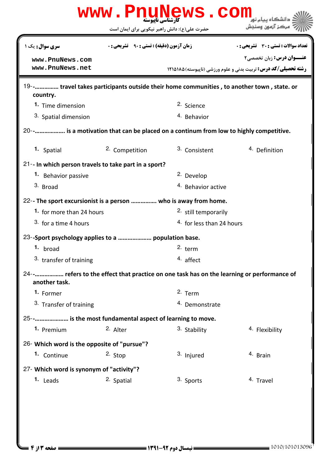|                                                                                                                |                                                                                                     | www.PnuNews.com                 | دانشگاه سام ز<br>مركز آزمون وسنجش                                                                       |  |  |  |
|----------------------------------------------------------------------------------------------------------------|-----------------------------------------------------------------------------------------------------|---------------------------------|---------------------------------------------------------------------------------------------------------|--|--|--|
| <b>سری سوال:</b> یک ۱                                                                                          | حضرت علی(ع): دانش راهبر نیکویی برای ایمان است<br><b>زمان آزمون (دقیقه) : تستی : 90 ٪ تشریحی : 0</b> |                                 | <b>تعداد سوالات : تستی : 30 ٪ تشریحی : 0</b>                                                            |  |  |  |
| www.PnuNews.com<br>www.PnuNews.net                                                                             |                                                                                                     |                                 | <b>عنــوان درس:</b> زبان تخصصي٢<br><b>رشته تحصیلی/کد درس:</b> تربیت بدنی و علوم ورزشی (ناپیوسته)۱۲۱۵۱۸۵ |  |  |  |
| 19-- travel takes participants outside their home communities, to another town, state. or<br>country.          |                                                                                                     |                                 |                                                                                                         |  |  |  |
| 1. Time dimension                                                                                              |                                                                                                     | <sup>2.</sup> Science           |                                                                                                         |  |  |  |
| 3. Spatial dimension                                                                                           |                                                                                                     | 4. Behavior                     |                                                                                                         |  |  |  |
| 20--    is a motivation that can be placed on a continum from low to highly competitive.                       |                                                                                                     |                                 |                                                                                                         |  |  |  |
| 1. Spatial                                                                                                     | 2. Competition                                                                                      | 3. Consistent                   | 4. Definition                                                                                           |  |  |  |
| 21-- In which person travels to take part in a sport?                                                          |                                                                                                     |                                 |                                                                                                         |  |  |  |
| 1. Behavior passive                                                                                            |                                                                                                     | <sup>2.</sup> Develop           |                                                                                                         |  |  |  |
| 3. Broad                                                                                                       |                                                                                                     | <sup>4.</sup> Behavior active   |                                                                                                         |  |  |  |
| 22-- The sport excursionist is a person  who is away from home.                                                |                                                                                                     |                                 |                                                                                                         |  |  |  |
| 1. for more than 24 hours                                                                                      |                                                                                                     | <sup>2.</sup> still temporarily |                                                                                                         |  |  |  |
| 3. for a time 4 hours                                                                                          |                                                                                                     | 4. for less than 24 hours       |                                                                                                         |  |  |  |
| 23--Sport psychology applies to a  population base.                                                            |                                                                                                     |                                 |                                                                                                         |  |  |  |
| 1. broad                                                                                                       |                                                                                                     | $2.$ term                       |                                                                                                         |  |  |  |
| 3. transfer of training                                                                                        |                                                                                                     | 4. affect                       |                                                                                                         |  |  |  |
| 24 -     refers to the effect that practice on one task has on the learning or performance of<br>another task. |                                                                                                     |                                 |                                                                                                         |  |  |  |
| 1. Former                                                                                                      |                                                                                                     | 2. Term                         |                                                                                                         |  |  |  |
| 3. Transfer of training                                                                                        |                                                                                                     | 4. Demonstrate                  |                                                                                                         |  |  |  |
| 25-- is the most fundamental aspect of learning to move.                                                       |                                                                                                     |                                 |                                                                                                         |  |  |  |
| 1. Premium                                                                                                     | 2. Alter                                                                                            | 3. Stability                    | 4. Flexibility                                                                                          |  |  |  |
| 26- Which word is the opposite of "pursue"?                                                                    |                                                                                                     |                                 |                                                                                                         |  |  |  |
| 1. Continue                                                                                                    | $2.$ Stop                                                                                           | 3. Injured                      | 4. Brain                                                                                                |  |  |  |
| 27- Which word is synonym of "activity"?                                                                       |                                                                                                     |                                 |                                                                                                         |  |  |  |
| 1. Leads                                                                                                       | 2. Spatial                                                                                          | 3. Sports                       | 4. Travel                                                                                               |  |  |  |